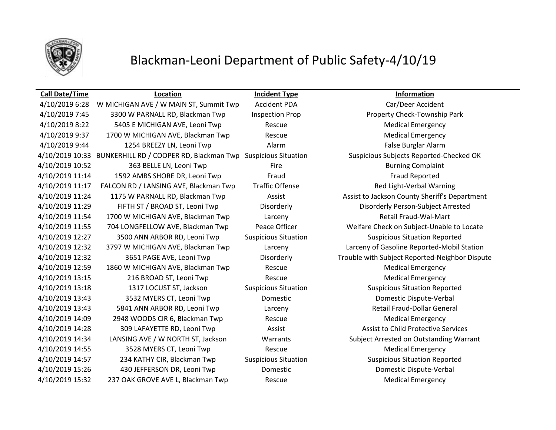

# Blackman-Leoni Department of Public Safety-4/10/19

### **Call Date/Time Location Incident Type Information** 4/10/2019 6:28 W MICHIGAN AVE / W MAIN ST, Summit Twp Accident PDA Car/Deer Accident 4/10/2019 7:45 3300 W PARNALL RD, Blackman Twp Inspection Prop Property Check-Township Park A/10/2019 8:22 5405 E MICHIGAN AVE, Leoni Twp Rescue Rescue Medical Emergency A/10/2019 9:37 1700 W MICHIGAN AVE, Blackman Twp Rescue Rescue Medical Emergency 4/10/2019 9:44 1254 BREEZY LN, Leoni Twp Alarm False Burglar Alarm 4/10/2019 10:33 BUNKERHILL RD / COOPER RD, Blackman Twp Suspicious Situation Suspicious Subjects Reported-Checked OK 4/10/2019 10:52 363 BELLE LN, Leoni Twp Fire Fire Fire Burning Complaint 4/10/2019 11:14 1592 AMBS SHORE DR, Leoni Twp Fraud Fraud Fraud Reported 4/10/2019 11:17 FALCON RD / LANSING AVE, Blackman Twp Traffic Offense Red Light-Verbal Warning 4/10/2019 11:24 1175 W PARNALL RD, Blackman Twp Assist Assist Assist Assist to Jackson County Sheriff's Department 4/10/2019 11:29 FIFTH ST / BROAD ST, Leoni Twp Disorderly Disorderly Person-Subject Arrested 4/10/2019 11:54 1700 W MICHIGAN AVE, Blackman Twp Larceny Retail Fraud-Wal-Mart 4/10/2019 11:55 704 LONGFELLOW AVE, Blackman Twp Peace Officer Welfare Check on Subject-Unable to Locate 4/10/2019 12:27 3500 ANN ARBOR RD, Leoni Twp Suspicious Situation Suspicious Situation Reported 4/10/2019 12:32 3797 W MICHIGAN AVE, Blackman Twp Larceny Larceny of Gasoline Reported-Mobil Station 4/10/2019 12:32 3651 PAGE AVE, Leoni Twp Disorderly Trouble with Subject Reported-Neighbor Dispute 4/10/2019 12:59 1860 W MICHIGAN AVE, Blackman Twp Rescue Rescue Medical Emergency A/10/2019 13:15 216 BROAD ST, Leoni Twp Rescue Rescue Rescue Medical Emergency 4/10/2019 13:18 1317 LOCUST ST, Jackson Suspicious Situation Suspicious Situation Reported 4/10/2019 13:43 3532 MYERS CT, Leoni Twp Domestic Domestic Dispute-Verbal 4/10/2019 13:43 5841 ANN ARBOR RD, Leoni Twp Larceny Retail Fraud-Dollar General 4/10/2019 14:09 2948 WOODS CIR 6, Blackman Twp Rescue Rescue Medical Emergency 4/10/2019 14:28 309 LAFAYETTE RD, Leoni Twp Assist Assist to Child Protective Services 4/10/2019 14:34 LANSING AVE / W NORTH ST, Jackson Warrants Subject Arrested on Outstanding Warrant 4/10/2019 14:55 3528 MYERS CT, Leoni Twp Rescue Medical Emergency 4/10/2019 14:57 234 KATHY CIR, Blackman Twp Suspicious Situation Suspicious Situation Reported 4/10/2019 15:26 430 JEFFERSON DR, Leoni Twp Domestic Domestic Dispute-Verbal A/10/2019 15:32 237 OAK GROVE AVE L, Blackman Twp Rescue Rescue Medical Emergency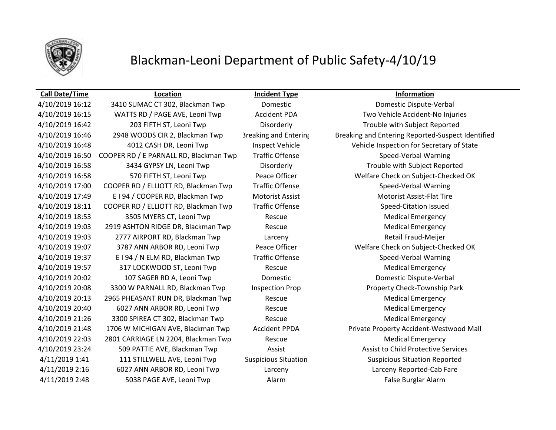

# Blackman-Leoni Department of Public Safety-4/10/19

#### **Call Date/Time Location Incident Type Information**

## 4/10/2019 16:12 3410 SUMAC CT 302, Blackman Twp Domestic Domestic Dispute-Verbal 4/10/2019 16:15 WATTS RD / PAGE AVE, Leoni Twp Accident PDA Two Vehicle Accident-No Injuries 4/10/2019 16:42 203 FIFTH ST, Leoni Twp Disorderly Trouble with Subject Reported 4/10/2019 16:50 COOPER RD / E PARNALL RD, Blackman Twp Traffic Offense Speed-Verbal Warning 4/10/2019 16:58 3434 GYPSY LN, Leoni Twp Disorderly Trouble with Subject Reported 4/10/2019 17:00 COOPER RD / ELLIOTT RD, Blackman Twp Traffic Offense Speed-Verbal Warning 4/10/2019 17:49 E I 94 / COOPER RD, Blackman Twp Motorist Assist Motorist Assist-Flat Tire 4/10/2019 18:11 COOPER RD / ELLIOTT RD, Blackman Twp Traffic Offense Speed-Citation Issued A/10/2019 18:53 3505 MYERS CT, Leoni Twp Rescue Rescue Rescue Medical Emergency 4/10/2019 19:03 2919 ASHTON RIDGE DR, Blackman Twp Rescue Medical Emergency 4/10/2019 19:03 2777 AIRPORT RD, Blackman Twp Larceny Retail Fraud-Meijer 4/10/2019 19:37 E I 94 / N ELM RD, Blackman Twp Traffic Offense Speed-Verbal Warning 4/10/2019 19:57 317 LOCKWOOD ST, Leoni Twp Rescue Rescue Rescue Medical Emergency 4/10/2019 20:02 107 SAGER RD A, Leoni Twp Domestic Domestic Dispute-Verbal 4/10/2019 20:08 3300 W PARNALL RD, Blackman Twp Inspection Prop Property Check-Township Park 4/10/2019 20:13 2965 PHEASANT RUN DR, Blackman Twp Rescue Medical Emergency 4/10/2019 20:40 6027 ANN ARBOR RD, Leoni Twp Rescue Rescue Medical Emergency 4/10/2019 21:26 3300 SPIREA CT 302, Blackman Twp Rescue Medical Emergency 4/10/2019 22:03 2801 CARRIAGE LN 2204, Blackman Twp Rescue Medical Emergency 4/10/2019 23:24 509 PATTIE AVE, Blackman Twp Assist Assist to Child Protective Services 4/11/2019 1:41 111 STILLWELL AVE, Leoni Twp Suspicious Situation Suspicious Situation Reported 4/11/2019 2:16 6027 ANN ARBOR RD, Leoni Twp Larceny Larceny Reported-Cab Fare

4/10/2019 16:46 2948 WOODS CIR 2, Blackman Twp Breaking and Entering Breaking and Entering Reported-Suspect Identified 4/10/2019 16:48 4012 CASH DR, Leoni Twp Inspect Vehicle Vehicle Inspection for Secretary of State 4/10/2019 16:58 570 FIFTH ST, Leoni Twp Peace Officer Welfare Check on Subject-Checked OK 4/10/2019 19:07 3787 ANN ARBOR RD, Leoni Twp Peace Officer Welfare Check on Subject-Checked OK 4/10/2019 21:48 1706 W MICHIGAN AVE, Blackman Twp Accident PPDA Private Property Accident-Westwood Mall 4/11/2019 2:48 5038 PAGE AVE, Leoni Twp Alarm False Burglar Alarm